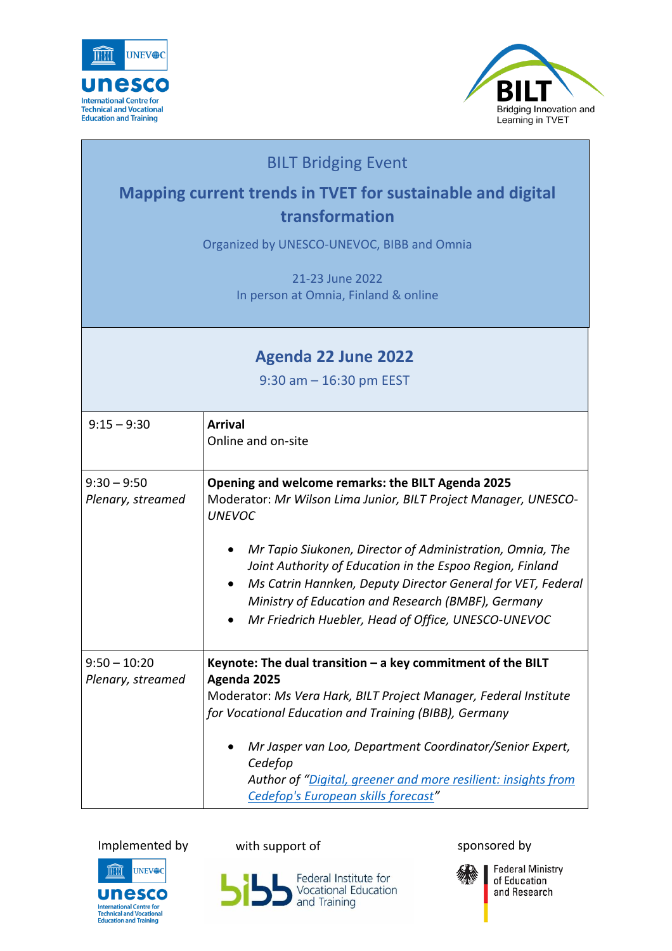



## BILT Bridging Event

## **Mapping current trends in TVET for sustainable and digital transformation**

Organized by UNESCO-UNEVOC, BIBB and Omnia

21-23 June 2022 In person at Omnia, Finland & online

## **Agenda 22 June 2022**

9:30 am – 16:30 pm EEST

| <b>Arrival</b><br>Online and on-site                                                                                                                                                                                                                                                               |
|----------------------------------------------------------------------------------------------------------------------------------------------------------------------------------------------------------------------------------------------------------------------------------------------------|
| Opening and welcome remarks: the BILT Agenda 2025<br>Moderator: Mr Wilson Lima Junior, BILT Project Manager, UNESCO-<br><b>UNEVOC</b>                                                                                                                                                              |
| Mr Tapio Siukonen, Director of Administration, Omnia, The<br>Joint Authority of Education in the Espoo Region, Finland<br>Ms Catrin Hannken, Deputy Director General for VET, Federal<br>Ministry of Education and Research (BMBF), Germany<br>Mr Friedrich Huebler, Head of Office, UNESCO-UNEVOC |
| Keynote: The dual transition $-$ a key commitment of the BILT<br>Agenda 2025                                                                                                                                                                                                                       |
| Moderator: Ms Vera Hark, BILT Project Manager, Federal Institute<br>for Vocational Education and Training (BIBB), Germany                                                                                                                                                                          |
| Mr Jasper van Loo, Department Coordinator/Senior Expert,<br>Cedefop<br>Author of "Digital, greener and more resilient: insights from<br>Cedefop's European skills forecast"                                                                                                                        |
|                                                                                                                                                                                                                                                                                                    |

## Implemented by with support of sponsored by sponsored by







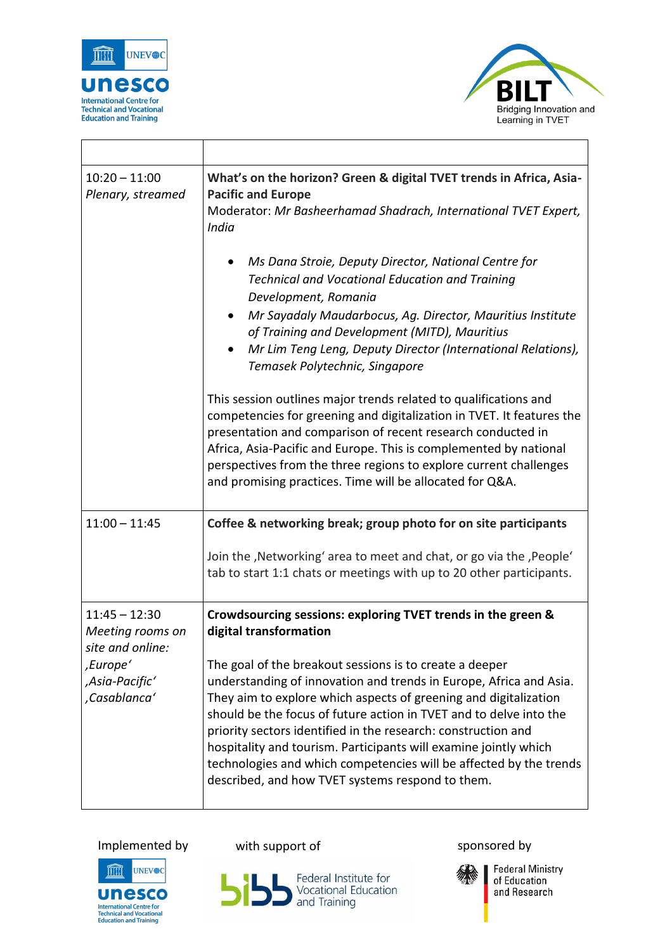

 $\overline{\phantom{a}}$ 



٦

| $10:20 - 11:00$<br>Plenary, streamed                    | What's on the horizon? Green & digital TVET trends in Africa, Asia-<br><b>Pacific and Europe</b><br>Moderator: Mr Basheerhamad Shadrach, International TVET Expert,<br>India                                                                                                                                                                                                                                                                                                                                                           |
|---------------------------------------------------------|----------------------------------------------------------------------------------------------------------------------------------------------------------------------------------------------------------------------------------------------------------------------------------------------------------------------------------------------------------------------------------------------------------------------------------------------------------------------------------------------------------------------------------------|
|                                                         | Ms Dana Stroie, Deputy Director, National Centre for<br><b>Technical and Vocational Education and Training</b><br>Development, Romania<br>Mr Sayadaly Maudarbocus, Ag. Director, Mauritius Institute<br>$\bullet$<br>of Training and Development (MITD), Mauritius<br>Mr Lim Teng Leng, Deputy Director (International Relations),<br>Temasek Polytechnic, Singapore                                                                                                                                                                   |
|                                                         | This session outlines major trends related to qualifications and<br>competencies for greening and digitalization in TVET. It features the<br>presentation and comparison of recent research conducted in<br>Africa, Asia-Pacific and Europe. This is complemented by national<br>perspectives from the three regions to explore current challenges<br>and promising practices. Time will be allocated for Q&A.                                                                                                                         |
| $11:00 - 11:45$                                         | Coffee & networking break; group photo for on site participants                                                                                                                                                                                                                                                                                                                                                                                                                                                                        |
|                                                         | Join the , Networking' area to meet and chat, or go via the , People'<br>tab to start 1:1 chats or meetings with up to 20 other participants.                                                                                                                                                                                                                                                                                                                                                                                          |
| $11:45 - 12:30$<br>Meeting rooms on<br>site and online: | Crowdsourcing sessions: exploring TVET trends in the green &<br>digital transformation                                                                                                                                                                                                                                                                                                                                                                                                                                                 |
| ,Europe <sup>'</sup><br>Asia-Pacific'<br>,Casablanca'   | The goal of the breakout sessions is to create a deeper<br>understanding of innovation and trends in Europe, Africa and Asia.<br>They aim to explore which aspects of greening and digitalization<br>should be the focus of future action in TVET and to delve into the<br>priority sectors identified in the research: construction and<br>hospitality and tourism. Participants will examine jointly which<br>technologies and which competencies will be affected by the trends<br>described, and how TVET systems respond to them. |

Implemented by with support of sponsored by sponsored by

m **UNEV®C unesco International Centre for<br>Technical and Vocational<br>Education and Training** 



Federal Institute for<br>Vocational Education<br>and Training

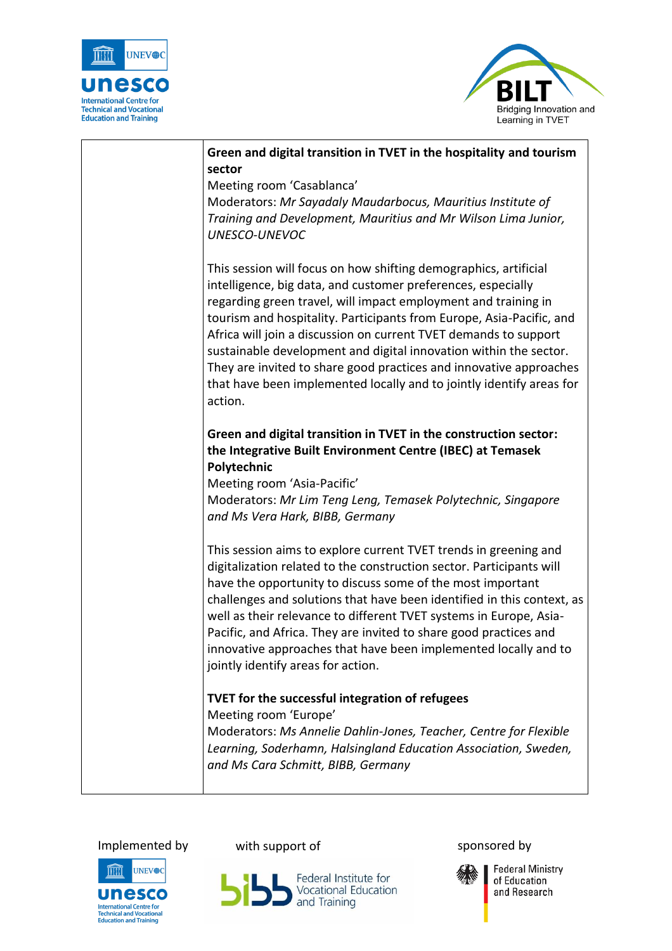



| Green and digital transition in TVET in the hospitality and tourism<br>sector<br>Meeting room 'Casablanca'<br>Moderators: Mr Sayadaly Maudarbocus, Mauritius Institute of<br>Training and Development, Mauritius and Mr Wilson Lima Junior,<br>UNESCO-UNEVOC                                                                                                                                                                                                                                                                                                                 |
|------------------------------------------------------------------------------------------------------------------------------------------------------------------------------------------------------------------------------------------------------------------------------------------------------------------------------------------------------------------------------------------------------------------------------------------------------------------------------------------------------------------------------------------------------------------------------|
| This session will focus on how shifting demographics, artificial<br>intelligence, big data, and customer preferences, especially<br>regarding green travel, will impact employment and training in<br>tourism and hospitality. Participants from Europe, Asia-Pacific, and<br>Africa will join a discussion on current TVET demands to support<br>sustainable development and digital innovation within the sector.<br>They are invited to share good practices and innovative approaches<br>that have been implemented locally and to jointly identify areas for<br>action. |
| Green and digital transition in TVET in the construction sector:<br>the Integrative Built Environment Centre (IBEC) at Temasek<br>Polytechnic                                                                                                                                                                                                                                                                                                                                                                                                                                |
| Meeting room 'Asia-Pacific'<br>Moderators: Mr Lim Teng Leng, Temasek Polytechnic, Singapore<br>and Ms Vera Hark, BIBB, Germany                                                                                                                                                                                                                                                                                                                                                                                                                                               |
| This session aims to explore current TVET trends in greening and<br>digitalization related to the construction sector. Participants will<br>have the opportunity to discuss some of the most important<br>challenges and solutions that have been identified in this context, as<br>well as their relevance to different TVET systems in Europe, Asia-<br>Pacific, and Africa. They are invited to share good practices and<br>innovative approaches that have been implemented locally and to<br>jointly identify areas for action.                                         |
| TVET for the successful integration of refugees<br>Meeting room 'Europe'<br>Moderators: Ms Annelie Dahlin-Jones, Teacher, Centre for Flexible<br>Learning, Soderhamn, Halsingland Education Association, Sweden,<br>and Ms Cara Schmitt, BIBB, Germany                                                                                                                                                                                                                                                                                                                       |

Implemented by with support of sponsored by sponsored by





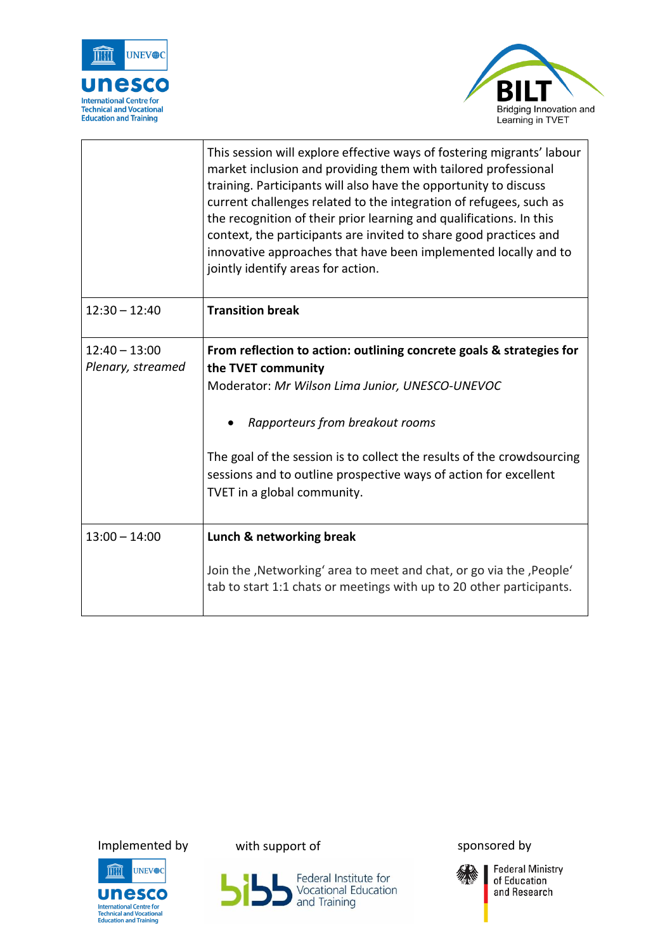



|                                      | This session will explore effective ways of fostering migrants' labour<br>market inclusion and providing them with tailored professional<br>training. Participants will also have the opportunity to discuss<br>current challenges related to the integration of refugees, such as<br>the recognition of their prior learning and qualifications. In this<br>context, the participants are invited to share good practices and<br>innovative approaches that have been implemented locally and to<br>jointly identify areas for action. |
|--------------------------------------|-----------------------------------------------------------------------------------------------------------------------------------------------------------------------------------------------------------------------------------------------------------------------------------------------------------------------------------------------------------------------------------------------------------------------------------------------------------------------------------------------------------------------------------------|
| $12:30 - 12:40$                      | <b>Transition break</b>                                                                                                                                                                                                                                                                                                                                                                                                                                                                                                                 |
| $12:40 - 13:00$<br>Plenary, streamed | From reflection to action: outlining concrete goals & strategies for                                                                                                                                                                                                                                                                                                                                                                                                                                                                    |
|                                      | the TVET community<br>Moderator: Mr Wilson Lima Junior, UNESCO-UNEVOC                                                                                                                                                                                                                                                                                                                                                                                                                                                                   |
|                                      | Rapporteurs from breakout rooms                                                                                                                                                                                                                                                                                                                                                                                                                                                                                                         |
|                                      | The goal of the session is to collect the results of the crowdsourcing<br>sessions and to outline prospective ways of action for excellent<br>TVET in a global community.                                                                                                                                                                                                                                                                                                                                                               |
| $13:00 - 14:00$                      | Lunch & networking break                                                                                                                                                                                                                                                                                                                                                                                                                                                                                                                |
|                                      | Join the , Networking' area to meet and chat, or go via the , People'<br>tab to start 1:1 chats or meetings with up to 20 other participants.                                                                                                                                                                                                                                                                                                                                                                                           |

Implemented by with support of sponsored by sponsored by





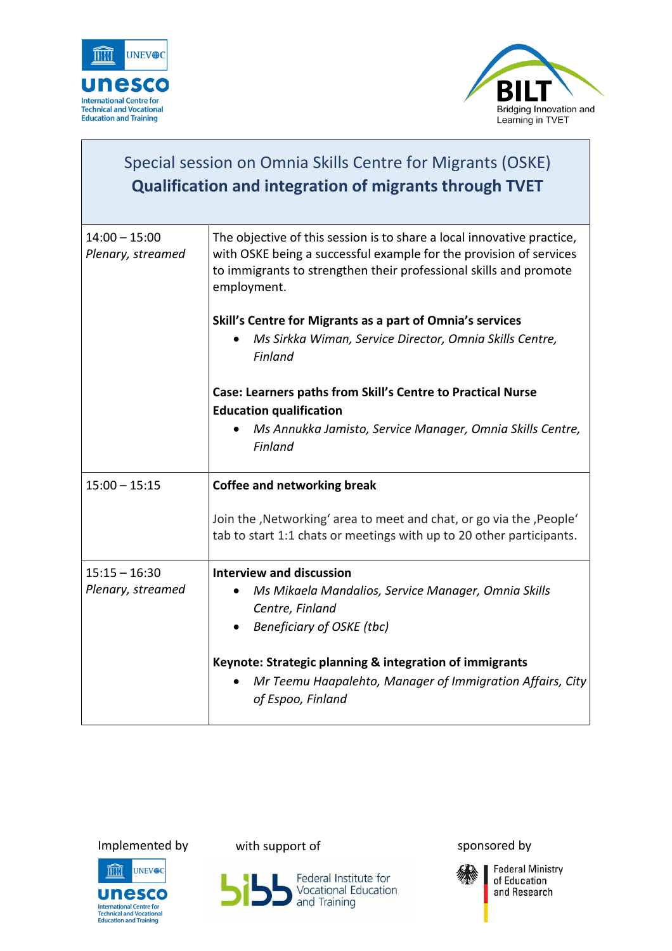



| Special session on Omnia Skills Centre for Migrants (OSKE)<br><b>Qualification and integration of migrants through TVET</b> |                                                                                                                                                                                                                                  |  |
|-----------------------------------------------------------------------------------------------------------------------------|----------------------------------------------------------------------------------------------------------------------------------------------------------------------------------------------------------------------------------|--|
| $14:00 - 15:00$<br>Plenary, streamed                                                                                        | The objective of this session is to share a local innovative practice,<br>with OSKE being a successful example for the provision of services<br>to immigrants to strengthen their professional skills and promote<br>employment. |  |
|                                                                                                                             | Skill's Centre for Migrants as a part of Omnia's services<br>Ms Sirkka Wiman, Service Director, Omnia Skills Centre,<br>Finland                                                                                                  |  |
|                                                                                                                             | Case: Learners paths from Skill's Centre to Practical Nurse<br><b>Education qualification</b>                                                                                                                                    |  |
|                                                                                                                             | Ms Annukka Jamisto, Service Manager, Omnia Skills Centre,<br><b>Finland</b>                                                                                                                                                      |  |
| $15:00 - 15:15$                                                                                                             | <b>Coffee and networking break</b>                                                                                                                                                                                               |  |
|                                                                                                                             | Join the , Networking' area to meet and chat, or go via the , People'<br>tab to start 1:1 chats or meetings with up to 20 other participants.                                                                                    |  |
| $15:15 - 16:30$<br>Plenary, streamed                                                                                        | <b>Interview and discussion</b><br>Ms Mikaela Mandalios, Service Manager, Omnia Skills<br>Centre, Finland<br>Beneficiary of OSKE (tbc)                                                                                           |  |
|                                                                                                                             | Keynote: Strategic planning & integration of immigrants<br>Mr Teemu Haapalehto, Manager of Immigration Affairs, City<br>of Espoo, Finland                                                                                        |  |

Implemented by with support of sponsored by sponsored by



Federal Institute for<br>Vocational Education<br>and Training

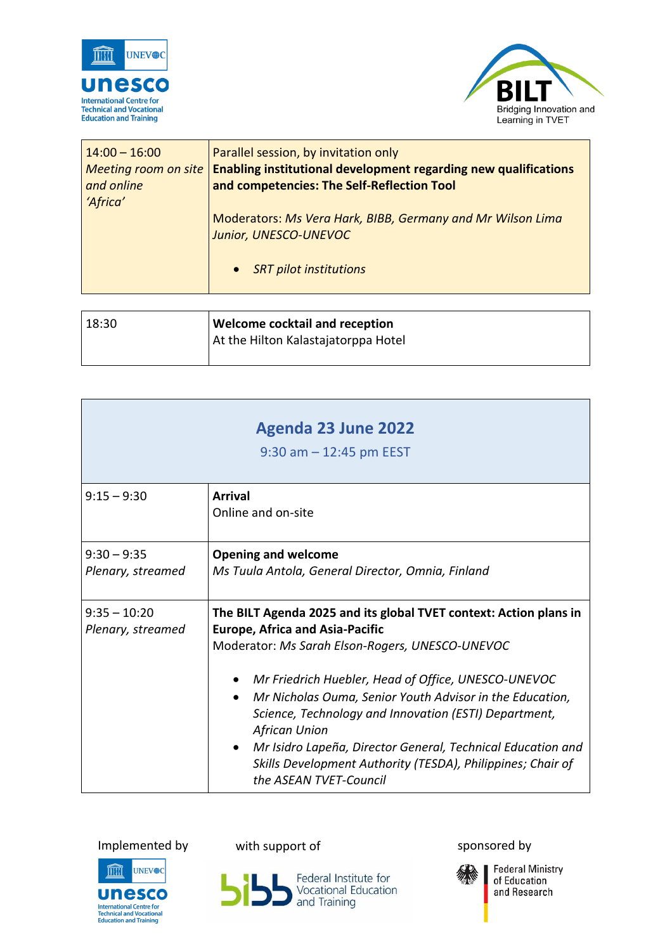



| $14:00 - 16:00$<br><b>Meeting room on site</b><br>and online<br>'Africa' | Parallel session, by invitation only<br><b>Enabling institutional development regarding new qualifications</b><br>and competencies: The Self-Reflection Tool |
|--------------------------------------------------------------------------|--------------------------------------------------------------------------------------------------------------------------------------------------------------|
|                                                                          | Moderators: Ms Vera Hark, BIBB, Germany and Mr Wilson Lima<br>Junior, UNESCO-UNEVOC<br>• SRT pilot institutions                                              |
|                                                                          |                                                                                                                                                              |

| 18:30 | <b>Welcome cocktail and reception</b> |
|-------|---------------------------------------|
|       | At the Hilton Kalastajatorppa Hotel   |
|       |                                       |

| Agenda 23 June 2022<br>$9:30$ am $-12:45$ pm EEST |                                                                                                                                                                                                                                                                                                                                                                                                                                                                                                                            |
|---------------------------------------------------|----------------------------------------------------------------------------------------------------------------------------------------------------------------------------------------------------------------------------------------------------------------------------------------------------------------------------------------------------------------------------------------------------------------------------------------------------------------------------------------------------------------------------|
| $9:15 - 9:30$                                     | <b>Arrival</b><br>Online and on-site                                                                                                                                                                                                                                                                                                                                                                                                                                                                                       |
| $9:30 - 9:35$<br>Plenary, streamed                | <b>Opening and welcome</b><br>Ms Tuula Antola, General Director, Omnia, Finland                                                                                                                                                                                                                                                                                                                                                                                                                                            |
| $9:35 - 10:20$<br>Plenary, streamed               | The BILT Agenda 2025 and its global TVET context: Action plans in<br><b>Europe, Africa and Asia-Pacific</b><br>Moderator: Ms Sarah Elson-Rogers, UNESCO-UNEVOC<br>Mr Friedrich Huebler, Head of Office, UNESCO-UNEVOC<br>Mr Nicholas Ouma, Senior Youth Advisor in the Education,<br>Science, Technology and Innovation (ESTI) Department,<br><b>African Union</b><br>Mr Isidro Lapeña, Director General, Technical Education and<br>Skills Development Authority (TESDA), Philippines; Chair of<br>the ASEAN TVET-Council |



**International Centre for<br>Technical and Vocational<br>Education and Training** 

Implemented by with support of sponsored by sponsored by



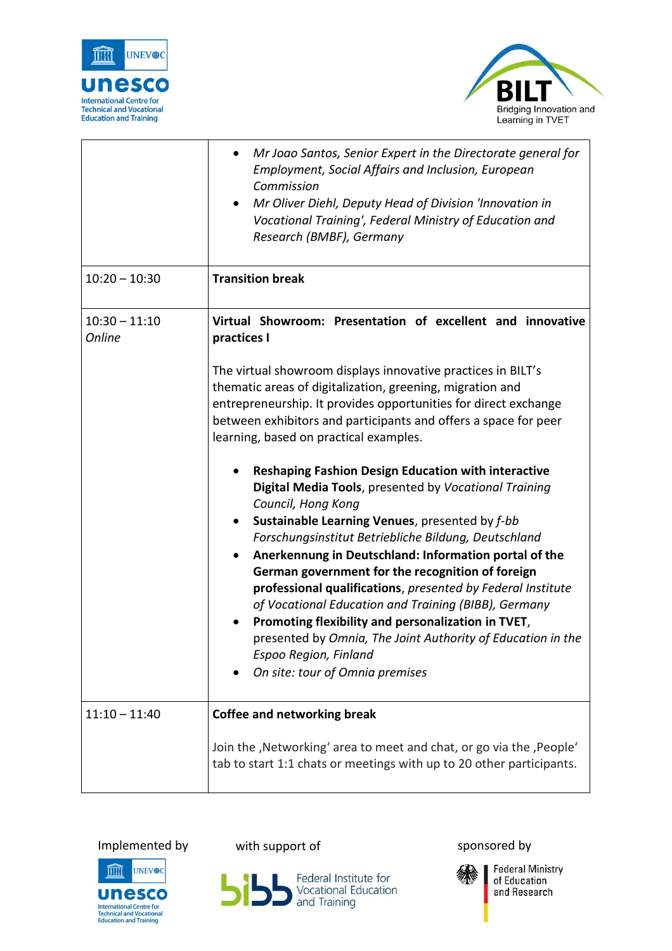



|                                  | Mr Joao Santos, Senior Expert in the Directorate general for<br>$\bullet$<br>Employment, Social Affairs and Inclusion, European<br>Commission<br>Mr Oliver Diehl, Deputy Head of Division 'Innovation in<br>Vocational Training', Federal Ministry of Education and<br>Research (BMBF), Germany                                                                                                                                                                                                                                                                                                                                                                                                                                                                                                                                                                                                                                                                                       |
|----------------------------------|---------------------------------------------------------------------------------------------------------------------------------------------------------------------------------------------------------------------------------------------------------------------------------------------------------------------------------------------------------------------------------------------------------------------------------------------------------------------------------------------------------------------------------------------------------------------------------------------------------------------------------------------------------------------------------------------------------------------------------------------------------------------------------------------------------------------------------------------------------------------------------------------------------------------------------------------------------------------------------------|
| $10:20 - 10:30$                  | <b>Transition break</b>                                                                                                                                                                                                                                                                                                                                                                                                                                                                                                                                                                                                                                                                                                                                                                                                                                                                                                                                                               |
| $10:30 - 11:10$<br><b>Online</b> | Virtual Showroom: Presentation of excellent and innovative<br>practices I                                                                                                                                                                                                                                                                                                                                                                                                                                                                                                                                                                                                                                                                                                                                                                                                                                                                                                             |
|                                  | The virtual showroom displays innovative practices in BILT's<br>thematic areas of digitalization, greening, migration and<br>entrepreneurship. It provides opportunities for direct exchange<br>between exhibitors and participants and offers a space for peer<br>learning, based on practical examples.<br><b>Reshaping Fashion Design Education with interactive</b><br>Digital Media Tools, presented by Vocational Training<br>Council, Hong Kong<br>Sustainable Learning Venues, presented by f-bb<br>Forschungsinstitut Betriebliche Bildung, Deutschland<br>Anerkennung in Deutschland: Information portal of the<br>German government for the recognition of foreign<br>professional qualifications, presented by Federal Institute<br>of Vocational Education and Training (BIBB), Germany<br>Promoting flexibility and personalization in TVET,<br>presented by Omnia, The Joint Authority of Education in the<br>Espoo Region, Finland<br>On site: tour of Omnia premises |
| $11:10 - 11:40$                  | <b>Coffee and networking break</b>                                                                                                                                                                                                                                                                                                                                                                                                                                                                                                                                                                                                                                                                                                                                                                                                                                                                                                                                                    |
|                                  | Join the, Networking' area to meet and chat, or go via the, People'<br>tab to start 1:1 chats or meetings with up to 20 other participants.                                                                                                                                                                                                                                                                                                                                                                                                                                                                                                                                                                                                                                                                                                                                                                                                                                           |